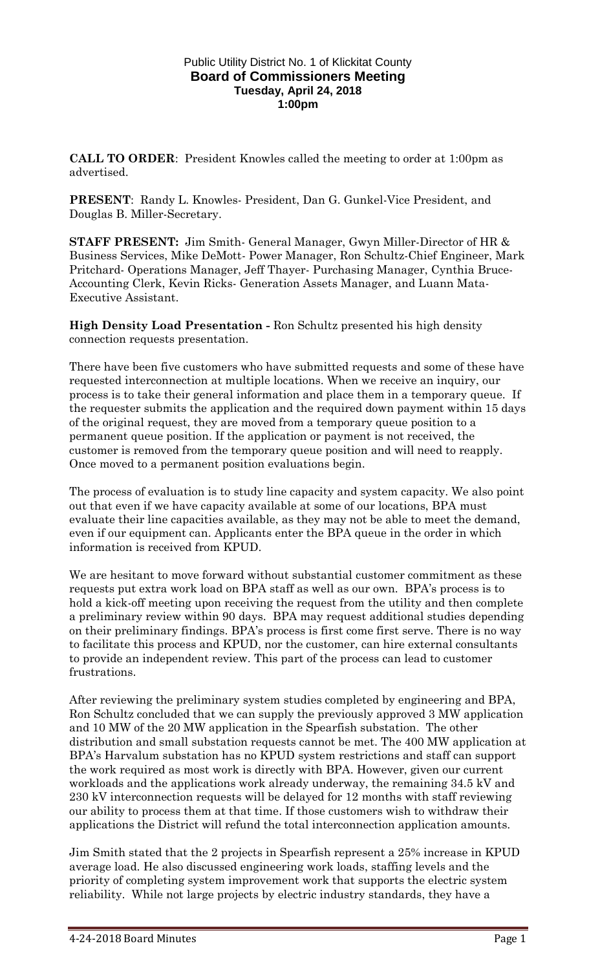#### Public Utility District No. 1 of Klickitat County **Board of Commissioners Meeting Tuesday, April 24, 2018 1:00pm**

**CALL TO ORDER**: President Knowles called the meeting to order at 1:00pm as advertised.

**PRESENT**: Randy L. Knowles- President, Dan G. Gunkel-Vice President, and Douglas B. Miller-Secretary.

**STAFF PRESENT:** Jim Smith- General Manager, Gwyn Miller-Director of HR & Business Services, Mike DeMott- Power Manager, Ron Schultz-Chief Engineer, Mark Pritchard- Operations Manager, Jeff Thayer- Purchasing Manager, Cynthia Bruce-Accounting Clerk, Kevin Ricks- Generation Assets Manager, and Luann Mata-Executive Assistant.

**High Density Load Presentation -** Ron Schultz presented his high density connection requests presentation.

There have been five customers who have submitted requests and some of these have requested interconnection at multiple locations. When we receive an inquiry, our process is to take their general information and place them in a temporary queue. If the requester submits the application and the required down payment within 15 days of the original request, they are moved from a temporary queue position to a permanent queue position. If the application or payment is not received, the customer is removed from the temporary queue position and will need to reapply. Once moved to a permanent position evaluations begin.

The process of evaluation is to study line capacity and system capacity. We also point out that even if we have capacity available at some of our locations, BPA must evaluate their line capacities available, as they may not be able to meet the demand, even if our equipment can. Applicants enter the BPA queue in the order in which information is received from KPUD.

We are hesitant to move forward without substantial customer commitment as these requests put extra work load on BPA staff as well as our own. BPA's process is to hold a kick-off meeting upon receiving the request from the utility and then complete a preliminary review within 90 days. BPA may request additional studies depending on their preliminary findings. BPA's process is first come first serve. There is no way to facilitate this process and KPUD, nor the customer, can hire external consultants to provide an independent review. This part of the process can lead to customer frustrations.

After reviewing the preliminary system studies completed by engineering and BPA, Ron Schultz concluded that we can supply the previously approved 3 MW application and 10 MW of the 20 MW application in the Spearfish substation. The other distribution and small substation requests cannot be met. The 400 MW application at BPA's Harvalum substation has no KPUD system restrictions and staff can support the work required as most work is directly with BPA. However, given our current workloads and the applications work already underway, the remaining 34.5 kV and 230 kV interconnection requests will be delayed for 12 months with staff reviewing our ability to process them at that time. If those customers wish to withdraw their applications the District will refund the total interconnection application amounts.

Jim Smith stated that the 2 projects in Spearfish represent a 25% increase in KPUD average load. He also discussed engineering work loads, staffing levels and the priority of completing system improvement work that supports the electric system reliability. While not large projects by electric industry standards, they have a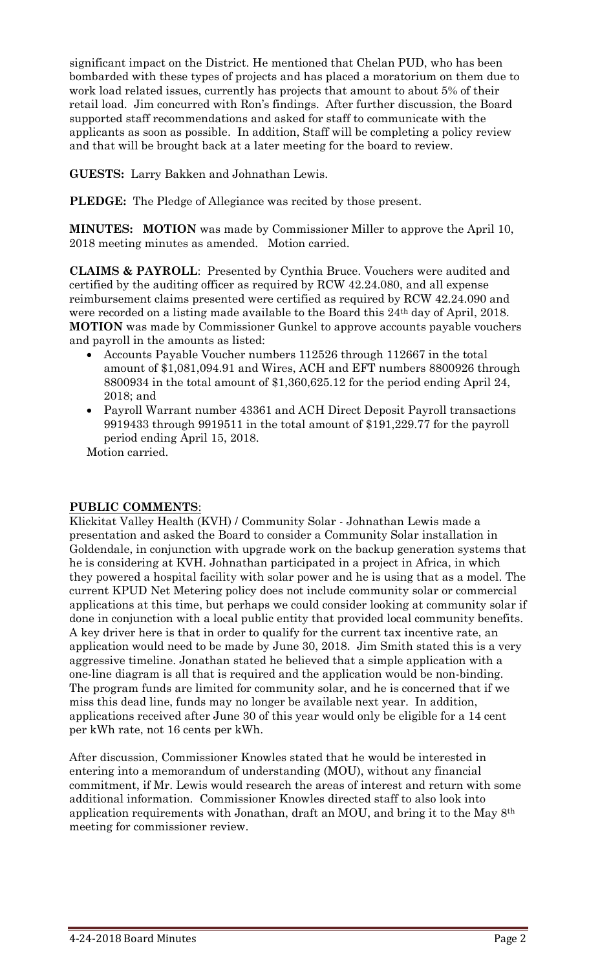significant impact on the District. He mentioned that Chelan PUD, who has been bombarded with these types of projects and has placed a moratorium on them due to work load related issues, currently has projects that amount to about 5% of their retail load. Jim concurred with Ron's findings. After further discussion, the Board supported staff recommendations and asked for staff to communicate with the applicants as soon as possible. In addition, Staff will be completing a policy review and that will be brought back at a later meeting for the board to review.

**GUESTS:** Larry Bakken and Johnathan Lewis.

**PLEDGE:** The Pledge of Allegiance was recited by those present.

**MINUTES: MOTION** was made by Commissioner Miller to approve the April 10, 2018 meeting minutes as amended. Motion carried.

**CLAIMS & PAYROLL**: Presented by Cynthia Bruce. Vouchers were audited and certified by the auditing officer as required by RCW 42.24.080, and all expense reimbursement claims presented were certified as required by RCW 42.24.090 and were recorded on a listing made available to the Board this 24th day of April, 2018. **MOTION** was made by Commissioner Gunkel to approve accounts payable vouchers and payroll in the amounts as listed:

- Accounts Payable Voucher numbers 112526 through 112667 in the total amount of \$1,081,094.91 and Wires, ACH and EFT numbers 8800926 through 8800934 in the total amount of \$1,360,625.12 for the period ending April 24, 2018; and
- Payroll Warrant number 43361 and ACH Direct Deposit Payroll transactions 9919433 through 9919511 in the total amount of \$191,229.77 for the payroll period ending April 15, 2018.

Motion carried.

#### **PUBLIC COMMENTS**:

Klickitat Valley Health (KVH) / Community Solar - Johnathan Lewis made a presentation and asked the Board to consider a Community Solar installation in Goldendale, in conjunction with upgrade work on the backup generation systems that he is considering at KVH. Johnathan participated in a project in Africa, in which they powered a hospital facility with solar power and he is using that as a model. The current KPUD Net Metering policy does not include community solar or commercial applications at this time, but perhaps we could consider looking at community solar if done in conjunction with a local public entity that provided local community benefits. A key driver here is that in order to qualify for the current tax incentive rate, an application would need to be made by June 30, 2018. Jim Smith stated this is a very aggressive timeline. Jonathan stated he believed that a simple application with a one-line diagram is all that is required and the application would be non-binding. The program funds are limited for community solar, and he is concerned that if we miss this dead line, funds may no longer be available next year. In addition, applications received after June 30 of this year would only be eligible for a 14 cent per kWh rate, not 16 cents per kWh.

After discussion, Commissioner Knowles stated that he would be interested in entering into a memorandum of understanding (MOU), without any financial commitment, if Mr. Lewis would research the areas of interest and return with some additional information. Commissioner Knowles directed staff to also look into application requirements with Jonathan, draft an MOU, and bring it to the May 8th meeting for commissioner review.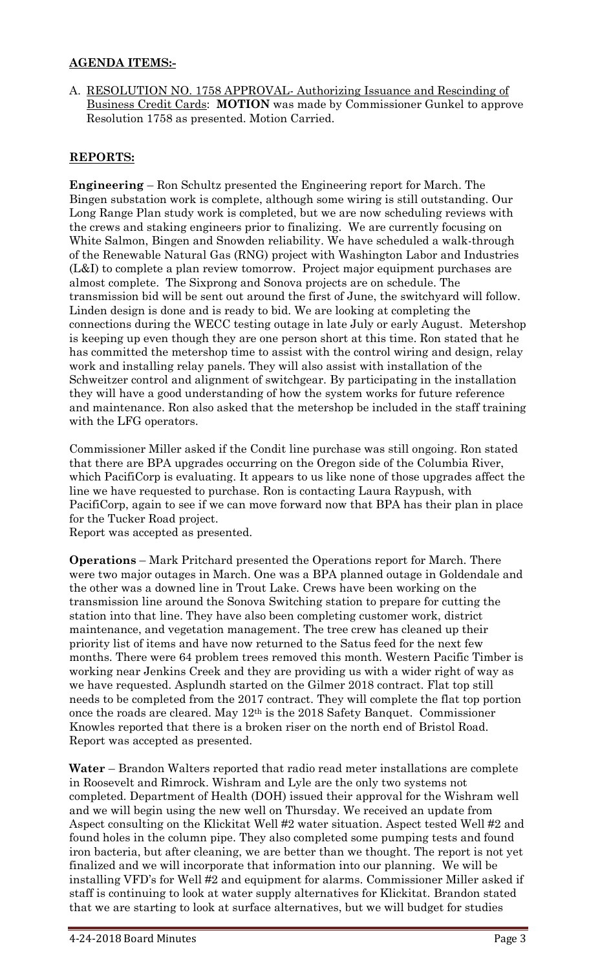## **AGENDA ITEMS:-**

A. RESOLUTION NO. 1758 APPROVAL- Authorizing Issuance and Rescinding of Business Credit Cards: **MOTION** was made by Commissioner Gunkel to approve Resolution 1758 as presented. Motion Carried.

## **REPORTS:**

**Engineering** – Ron Schultz presented the Engineering report for March. The Bingen substation work is complete, although some wiring is still outstanding. Our Long Range Plan study work is completed, but we are now scheduling reviews with the crews and staking engineers prior to finalizing. We are currently focusing on White Salmon, Bingen and Snowden reliability. We have scheduled a walk-through of the Renewable Natural Gas (RNG) project with Washington Labor and Industries (L&I) to complete a plan review tomorrow. Project major equipment purchases are almost complete. The Sixprong and Sonova projects are on schedule. The transmission bid will be sent out around the first of June, the switchyard will follow. Linden design is done and is ready to bid. We are looking at completing the connections during the WECC testing outage in late July or early August. Metershop is keeping up even though they are one person short at this time. Ron stated that he has committed the metershop time to assist with the control wiring and design, relay work and installing relay panels. They will also assist with installation of the Schweitzer control and alignment of switchgear. By participating in the installation they will have a good understanding of how the system works for future reference and maintenance. Ron also asked that the metershop be included in the staff training with the LFG operators.

Commissioner Miller asked if the Condit line purchase was still ongoing. Ron stated that there are BPA upgrades occurring on the Oregon side of the Columbia River, which PacifiCorp is evaluating. It appears to us like none of those upgrades affect the line we have requested to purchase. Ron is contacting Laura Raypush, with PacifiCorp, again to see if we can move forward now that BPA has their plan in place for the Tucker Road project.

Report was accepted as presented.

**Operations** – Mark Pritchard presented the Operations report for March. There were two major outages in March. One was a BPA planned outage in Goldendale and the other was a downed line in Trout Lake. Crews have been working on the transmission line around the Sonova Switching station to prepare for cutting the station into that line. They have also been completing customer work, district maintenance, and vegetation management. The tree crew has cleaned up their priority list of items and have now returned to the Satus feed for the next few months. There were 64 problem trees removed this month. Western Pacific Timber is working near Jenkins Creek and they are providing us with a wider right of way as we have requested. Asplundh started on the Gilmer 2018 contract. Flat top still needs to be completed from the 2017 contract. They will complete the flat top portion once the roads are cleared. May 12th is the 2018 Safety Banquet. Commissioner Knowles reported that there is a broken riser on the north end of Bristol Road. Report was accepted as presented.

**Water** – Brandon Walters reported that radio read meter installations are complete in Roosevelt and Rimrock. Wishram and Lyle are the only two systems not completed. Department of Health (DOH) issued their approval for the Wishram well and we will begin using the new well on Thursday. We received an update from Aspect consulting on the Klickitat Well #2 water situation. Aspect tested Well #2 and found holes in the column pipe. They also completed some pumping tests and found iron bacteria, but after cleaning, we are better than we thought. The report is not yet finalized and we will incorporate that information into our planning. We will be installing VFD's for Well #2 and equipment for alarms. Commissioner Miller asked if staff is continuing to look at water supply alternatives for Klickitat. Brandon stated that we are starting to look at surface alternatives, but we will budget for studies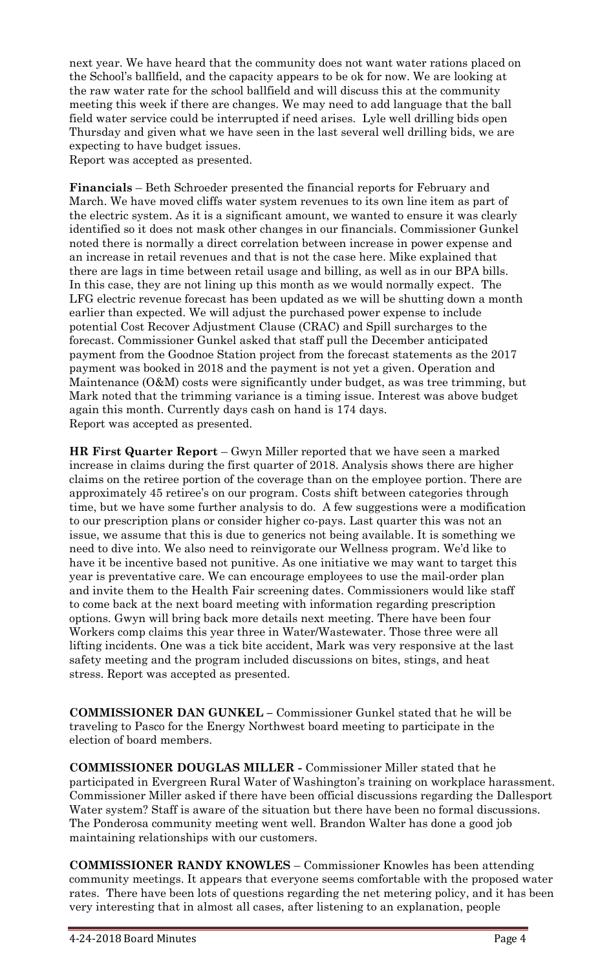next year. We have heard that the community does not want water rations placed on the School's ballfield, and the capacity appears to be ok for now. We are looking at the raw water rate for the school ballfield and will discuss this at the community meeting this week if there are changes. We may need to add language that the ball field water service could be interrupted if need arises. Lyle well drilling bids open Thursday and given what we have seen in the last several well drilling bids, we are expecting to have budget issues.

Report was accepted as presented.

**Financials** – Beth Schroeder presented the financial reports for February and March. We have moved cliffs water system revenues to its own line item as part of the electric system. As it is a significant amount, we wanted to ensure it was clearly identified so it does not mask other changes in our financials. Commissioner Gunkel noted there is normally a direct correlation between increase in power expense and an increase in retail revenues and that is not the case here. Mike explained that there are lags in time between retail usage and billing, as well as in our BPA bills. In this case, they are not lining up this month as we would normally expect. The LFG electric revenue forecast has been updated as we will be shutting down a month earlier than expected. We will adjust the purchased power expense to include potential Cost Recover Adjustment Clause (CRAC) and Spill surcharges to the forecast. Commissioner Gunkel asked that staff pull the December anticipated payment from the Goodnoe Station project from the forecast statements as the 2017 payment was booked in 2018 and the payment is not yet a given. Operation and Maintenance (O&M) costs were significantly under budget, as was tree trimming, but Mark noted that the trimming variance is a timing issue. Interest was above budget again this month. Currently days cash on hand is 174 days. Report was accepted as presented.

**HR First Quarter Report** – Gwyn Miller reported that we have seen a marked increase in claims during the first quarter of 2018. Analysis shows there are higher claims on the retiree portion of the coverage than on the employee portion. There are approximately 45 retiree's on our program. Costs shift between categories through time, but we have some further analysis to do. A few suggestions were a modification to our prescription plans or consider higher co-pays. Last quarter this was not an issue, we assume that this is due to generics not being available. It is something we need to dive into. We also need to reinvigorate our Wellness program. We'd like to have it be incentive based not punitive. As one initiative we may want to target this year is preventative care. We can encourage employees to use the mail-order plan and invite them to the Health Fair screening dates. Commissioners would like staff to come back at the next board meeting with information regarding prescription options. Gwyn will bring back more details next meeting. There have been four Workers comp claims this year three in Water/Wastewater. Those three were all lifting incidents. One was a tick bite accident, Mark was very responsive at the last safety meeting and the program included discussions on bites, stings, and heat stress. Report was accepted as presented.

**COMMISSIONER DAN GUNKEL –** Commissioner Gunkel stated that he will be traveling to Pasco for the Energy Northwest board meeting to participate in the election of board members.

**COMMISSIONER DOUGLAS MILLER -** Commissioner Miller stated that he participated in Evergreen Rural Water of Washington's training on workplace harassment. Commissioner Miller asked if there have been official discussions regarding the Dallesport Water system? Staff is aware of the situation but there have been no formal discussions. The Ponderosa community meeting went well. Brandon Walter has done a good job maintaining relationships with our customers.

**COMMISSIONER RANDY KNOWLES** – Commissioner Knowles has been attending community meetings. It appears that everyone seems comfortable with the proposed water rates. There have been lots of questions regarding the net metering policy, and it has been very interesting that in almost all cases, after listening to an explanation, people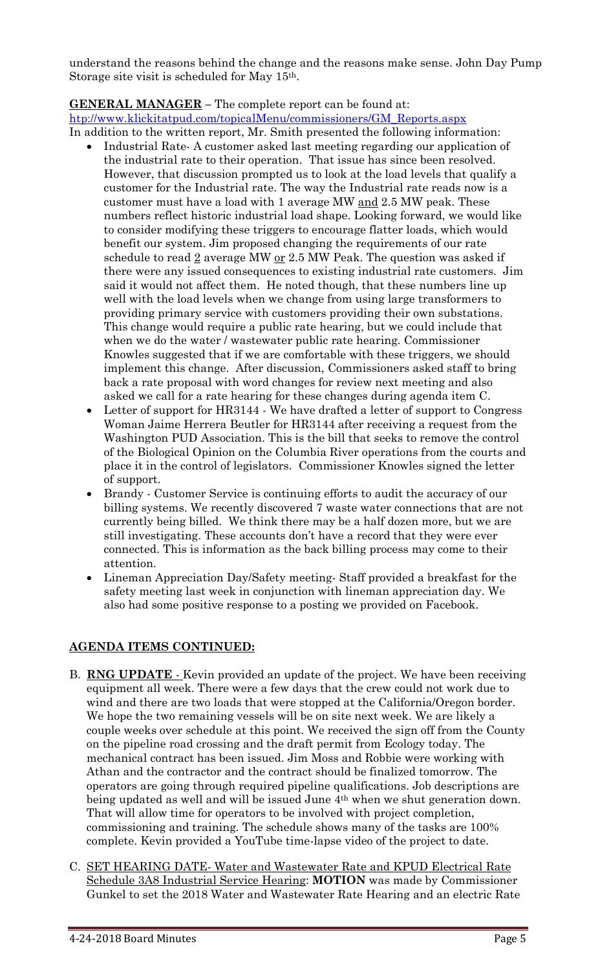understand the reasons behind the change and the reasons make sense. John Day Pump Storage site visit is scheduled for May 15th.

## **GENERAL MANAGER –** The complete report can be found at:

[htp://www.klickitatpud.com/topicalMenu/commissioners/GM\\_Reports.aspx](http://www.klickitatpud.com/topicalMenu/commissioners/GM_Reports.aspx)

In addition to the written report, Mr. Smith presented the following information:

- Industrial Rate- A customer asked last meeting regarding our application of the industrial rate to their operation. That issue has since been resolved. However, that discussion prompted us to look at the load levels that qualify a customer for the Industrial rate. The way the Industrial rate reads now is a customer must have a load with 1 average MW and 2.5 MW peak. These numbers reflect historic industrial load shape. Looking forward, we would like to consider modifying these triggers to encourage flatter loads, which would benefit our system. Jim proposed changing the requirements of our rate schedule to read  $\underline{2}$  average MW <u>or</u> 2.5 MW Peak. The question was asked if there were any issued consequences to existing industrial rate customers. Jim said it would not affect them. He noted though, that these numbers line up well with the load levels when we change from using large transformers to providing primary service with customers providing their own substations. This change would require a public rate hearing, but we could include that when we do the water / wastewater public rate hearing. Commissioner Knowles suggested that if we are comfortable with these triggers, we should implement this change. After discussion, Commissioners asked staff to bring back a rate proposal with word changes for review next meeting and also asked we call for a rate hearing for these changes during agenda item C.
- Letter of support for HR3144 We have drafted a letter of support to Congress Woman Jaime Herrera Beutler for HR3144 after receiving a request from the Washington PUD Association. This is the bill that seeks to remove the control of the Biological Opinion on the Columbia River operations from the courts and place it in the control of legislators. Commissioner Knowles signed the letter of support.
- Brandy Customer Service is continuing efforts to audit the accuracy of our billing systems. We recently discovered 7 waste water connections that are not currently being billed. We think there may be a half dozen more, but we are still investigating. These accounts don't have a record that they were ever connected. This is information as the back billing process may come to their attention.
- Lineman Appreciation Day/Safety meeting- Staff provided a breakfast for the safety meeting last week in conjunction with lineman appreciation day. We also had some positive response to a posting we provided on Facebook.

# **AGENDA ITEMS CONTINUED:**

- B. **RNG UPDATE** Kevin provided an update of the project. We have been receiving equipment all week. There were a few days that the crew could not work due to wind and there are two loads that were stopped at the California/Oregon border. We hope the two remaining vessels will be on site next week. We are likely a couple weeks over schedule at this point. We received the sign off from the County on the pipeline road crossing and the draft permit from Ecology today. The mechanical contract has been issued. Jim Moss and Robbie were working with Athan and the contractor and the contract should be finalized tomorrow. The operators are going through required pipeline qualifications. Job descriptions are being updated as well and will be issued June 4<sup>th</sup> when we shut generation down. That will allow time for operators to be involved with project completion, commissioning and training. The schedule shows many of the tasks are 100% complete. Kevin provided a YouTube time-lapse video of the project to date.
- C. SET HEARING DATE- Water and Wastewater Rate and KPUD Electrical Rate Schedule 3A8 Industrial Service Hearing: **MOTION** was made by Commissioner Gunkel to set the 2018 Water and Wastewater Rate Hearing and an electric Rate